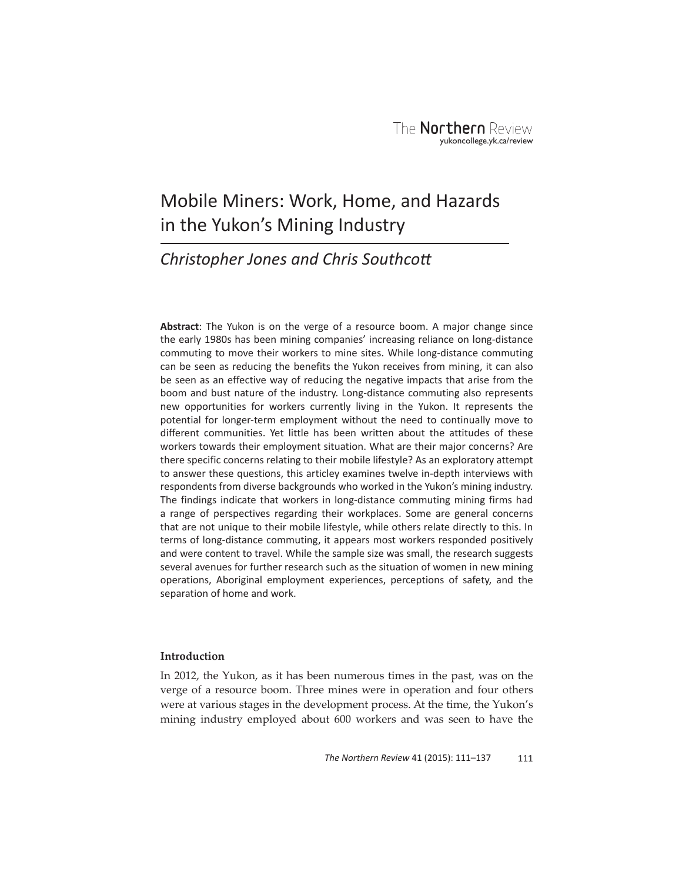# Mobile Miners: Work, Home, and Hazards in the Yukon's Mining Industry

# *Christopher Jones and Chris Southcott*

**Abstract**: The Yukon is on the verge of a resource boom. A major change since the early 1980s has been mining companies' increasing reliance on long-distance commuting to move their workers to mine sites. While long-distance commuting can be seen as reducing the benefits the Yukon receives from mining, it can also be seen as an effective way of reducing the negative impacts that arise from the boom and bust nature of the industry. Long-distance commuting also represents new opportunities for workers currently living in the Yukon. It represents the potential for longer-term employment without the need to continually move to different communities. Yet little has been written about the attitudes of these workers towards their employment situation. What are their major concerns? Are there specific concerns relating to their mobile lifestyle? As an exploratory attempt to answer these questions, this articley examines twelve in-depth interviews with respondents from diverse backgrounds who worked in the Yukon's mining industry. The findings indicate that workers in long-distance commuting mining firms had a range of perspectives regarding their workplaces. Some are general concerns that are not unique to their mobile lifestyle, while others relate directly to this. In terms of long-distance commuting, it appears most workers responded positively and were content to travel. While the sample size was small, the research suggests several avenues for further research such as the situation of women in new mining operations, Aboriginal employment experiences, perceptions of safety, and the separation of home and work.

# **Introduction**

In 2012, the Yukon, as it has been numerous times in the past, was on the verge of a resource boom. Three mines were in operation and four others were at various stages in the development process. At the time, the Yukon's mining industry employed about 600 workers and was seen to have the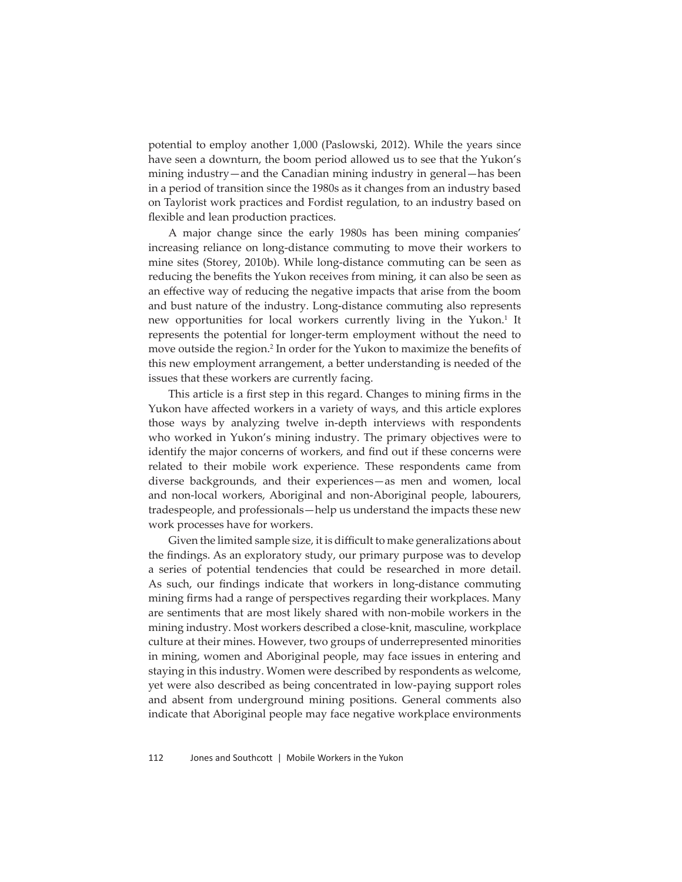potential to employ another 1,000 (Paslowski, 2012). While the years since have seen a downturn, the boom period allowed us to see that the Yukon's mining industry—and the Canadian mining industry in general—has been in a period of transition since the 1980s as it changes from an industry based on Taylorist work practices and Fordist regulation, to an industry based on flexible and lean production practices.

A major change since the early 1980s has been mining companies' increasing reliance on long-distance commuting to move their workers to mine sites (Storey, 2010b). While long-distance commuting can be seen as reducing the benefits the Yukon receives from mining, it can also be seen as an effective way of reducing the negative impacts that arise from the boom and bust nature of the industry. Long-distance commuting also represents new opportunities for local workers currently living in the Yukon.<sup>1</sup> It represents the potential for longer-term employment without the need to move outside the region.<sup>2</sup> In order for the Yukon to maximize the benefits of this new employment arrangement, a better understanding is needed of the issues that these workers are currently facing.

This article is a first step in this regard. Changes to mining firms in the Yukon have affected workers in a variety of ways, and this article explores those ways by analyzing twelve in-depth interviews with respondents who worked in Yukon's mining industry. The primary objectives were to identify the major concerns of workers, and find out if these concerns were related to their mobile work experience. These respondents came from diverse backgrounds, and their experiences—as men and women, local and non-local workers, Aboriginal and non-Aboriginal people, labourers, tradespeople, and professionals—help us understand the impacts these new work processes have for workers.

Given the limited sample size, it is difficult to make generalizations about the findings. As an exploratory study, our primary purpose was to develop a series of potential tendencies that could be researched in more detail. As such, our findings indicate that workers in long-distance commuting mining firms had a range of perspectives regarding their workplaces. Many are sentiments that are most likely shared with non-mobile workers in the mining industry. Most workers described a close-knit, masculine, workplace culture at their mines. However, two groups of underrepresented minorities in mining, women and Aboriginal people, may face issues in entering and staying in this industry. Women were described by respondents as welcome, yet were also described as being concentrated in low-paying support roles and absent from underground mining positions. General comments also indicate that Aboriginal people may face negative workplace environments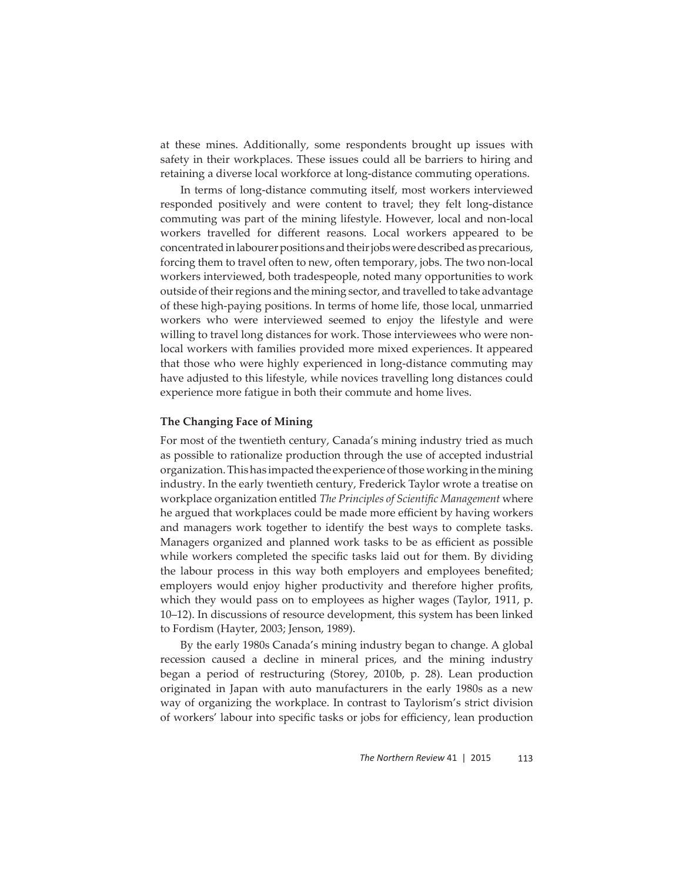at these mines. Additionally, some respondents brought up issues with safety in their workplaces. These issues could all be barriers to hiring and retaining a diverse local workforce at long-distance commuting operations.

In terms of long-distance commuting itself, most workers interviewed responded positively and were content to travel; they felt long-distance commuting was part of the mining lifestyle. However, local and non-local workers travelled for different reasons. Local workers appeared to be concentrated in labourer positions and their jobs were described as precarious, forcing them to travel often to new, often temporary, jobs. The two non-local workers interviewed, both tradespeople, noted many opportunities to work outside of their regions and the mining sector, and travelled to take advantage of these high-paying positions. In terms of home life, those local, unmarried workers who were interviewed seemed to enjoy the lifestyle and were willing to travel long distances for work. Those interviewees who were nonlocal workers with families provided more mixed experiences. It appeared that those who were highly experienced in long-distance commuting may have adjusted to this lifestyle, while novices travelling long distances could experience more fatigue in both their commute and home lives.

#### **The Changing Face of Mining**

For most of the twentieth century, Canada's mining industry tried as much as possible to rationalize production through the use of accepted industrial organization. This has impacted the experience of those working in the mining industry. In the early twentieth century, Frederick Taylor wrote a treatise on workplace organization entitled *The Principles of Scientifi c Management* where he argued that workplaces could be made more efficient by having workers and managers work together to identify the best ways to complete tasks. Managers organized and planned work tasks to be as efficient as possible while workers completed the specific tasks laid out for them. By dividing the labour process in this way both employers and employees benefited; employers would enjoy higher productivity and therefore higher profits, which they would pass on to employees as higher wages (Taylor, 1911, p. 10–12). In discussions of resource development, this system has been linked to Fordism (Hayter, 2003; Jenson, 1989).

By the early 1980s Canada's mining industry began to change. A global recession caused a decline in mineral prices, and the mining industry began a period of restructuring (Storey, 2010b, p. 28). Lean production originated in Japan with auto manufacturers in the early 1980s as a new way of organizing the workplace. In contrast to Taylorism's strict division of workers' labour into specific tasks or jobs for efficiency, lean production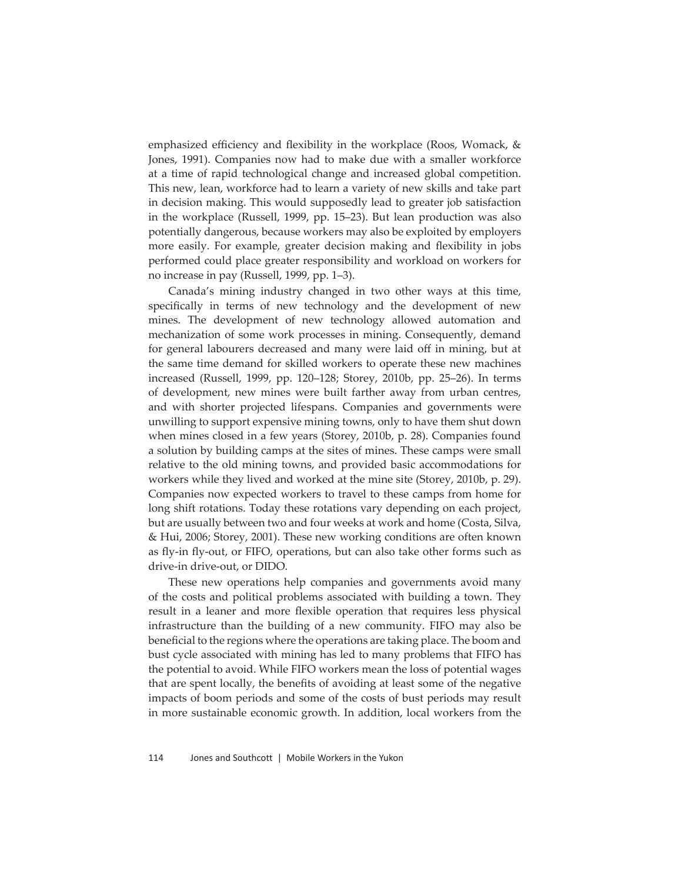emphasized efficiency and flexibility in the workplace (Roos, Womack,  $\&$ Jones, 1991). Companies now had to make due with a smaller workforce at a time of rapid technological change and increased global competition. This new, lean, workforce had to learn a variety of new skills and take part in decision making. This would supposedly lead to greater job satisfaction in the workplace (Russell, 1999, pp. 15–23). But lean production was also potentially dangerous, because workers may also be exploited by employers more easily. For example, greater decision making and flexibility in jobs performed could place greater responsibility and workload on workers for no increase in pay (Russell, 1999, pp. 1–3).

Canada's mining industry changed in two other ways at this time, specifically in terms of new technology and the development of new mines. The development of new technology allowed automation and mechanization of some work processes in mining. Consequently, demand for general labourers decreased and many were laid off in mining, but at the same time demand for skilled workers to operate these new machines increased (Russell, 1999, pp. 120–128; Storey, 2010b, pp. 25–26). In terms of development, new mines were built farther away from urban centres, and with shorter projected lifespans. Companies and governments were unwilling to support expensive mining towns, only to have them shut down when mines closed in a few years (Storey, 2010b, p. 28). Companies found a solution by building camps at the sites of mines. These camps were small relative to the old mining towns, and provided basic accommodations for workers while they lived and worked at the mine site (Storey, 2010b, p. 29). Companies now expected workers to travel to these camps from home for long shift rotations. Today these rotations vary depending on each project, but are usually between two and four weeks at work and home (Costa, Silva, & Hui, 2006; Storey, 2001). These new working conditions are often known as fly-in fly-out, or FIFO, operations, but can also take other forms such as drive-in drive-out, or DIDO.

These new operations help companies and governments avoid many of the costs and political problems associated with building a town. They result in a leaner and more flexible operation that requires less physical infrastructure than the building of a new community. FIFO may also be beneficial to the regions where the operations are taking place. The boom and bust cycle associated with mining has led to many problems that FIFO has the potential to avoid. While FIFO workers mean the loss of potential wages that are spent locally, the benefits of avoiding at least some of the negative impacts of boom periods and some of the costs of bust periods may result in more sustainable economic growth. In addition, local workers from the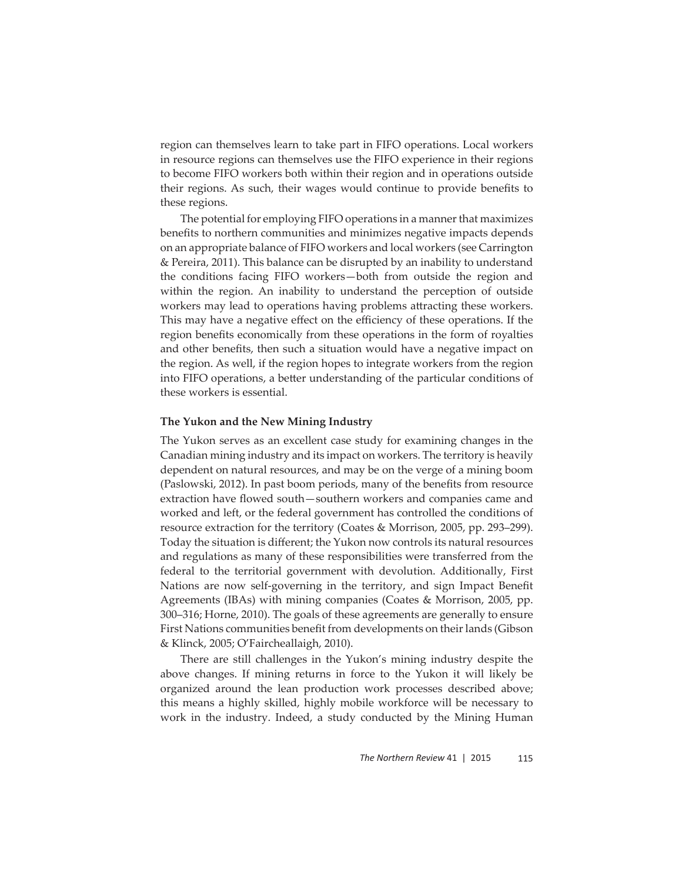region can themselves learn to take part in FIFO operations. Local workers in resource regions can themselves use the FIFO experience in their regions to become FIFO workers both within their region and in operations outside their regions. As such, their wages would continue to provide benefits to these regions.

The potential for employing FIFO operations in a manner that maximizes benefits to northern communities and minimizes negative impacts depends on an appropriate balance of FIFO workers and local workers (see Carrington & Pereira, 2011). This balance can be disrupted by an inability to understand the conditions facing FIFO workers—both from outside the region and within the region. An inability to understand the perception of outside workers may lead to operations having problems attracting these workers. This may have a negative effect on the efficiency of these operations. If the region benefits economically from these operations in the form of royalties and other benefits, then such a situation would have a negative impact on the region. As well, if the region hopes to integrate workers from the region into FIFO operations, a better understanding of the particular conditions of these workers is essential.

#### **The Yukon and the New Mining Industry**

The Yukon serves as an excellent case study for examining changes in the Canadian mining industry and its impact on workers. The territory is heavily dependent on natural resources, and may be on the verge of a mining boom (Paslowski, 2012). In past boom periods, many of the benefits from resource extraction have flowed south-southern workers and companies came and worked and left, or the federal government has controlled the conditions of resource extraction for the territory (Coates & Morrison, 2005, pp. 293–299). Today the situation is different; the Yukon now controls its natural resources and regulations as many of these responsibilities were transferred from the federal to the territorial government with devolution. Additionally, First Nations are now self-governing in the territory, and sign Impact Benefit Agreements (IBAs) with mining companies (Coates & Morrison, 2005, pp. 300–316; Horne, 2010). The goals of these agreements are generally to ensure First Nations communities benefit from developments on their lands (Gibson & Klinck, 2005; O'Faircheallaigh, 2010).

There are still challenges in the Yukon's mining industry despite the above changes. If mining returns in force to the Yukon it will likely be organized around the lean production work processes described above; this means a highly skilled, highly mobile workforce will be necessary to work in the industry. Indeed, a study conducted by the Mining Human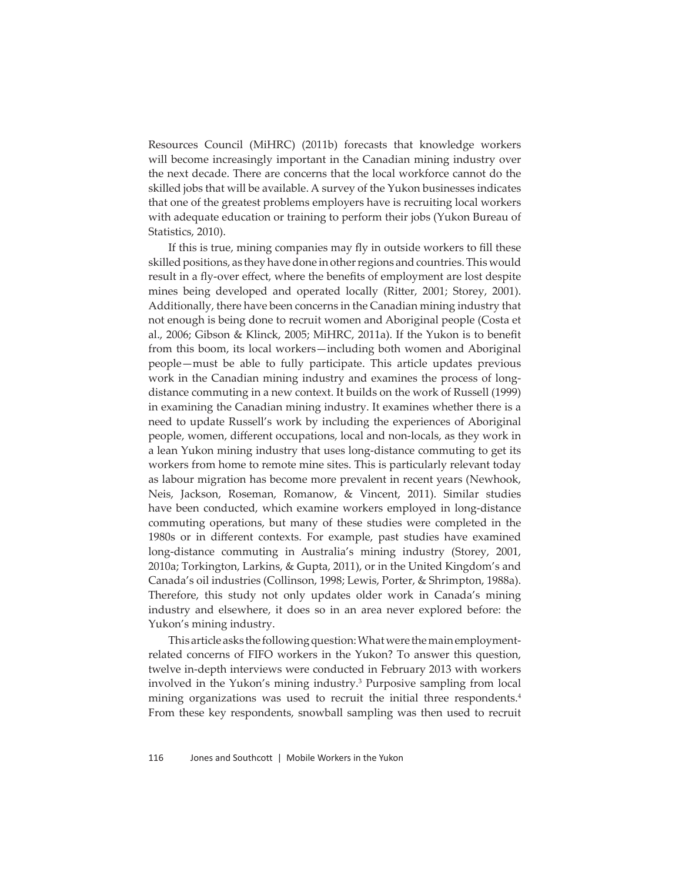Resources Council (MiHRC) (2011b) forecasts that knowledge workers will become increasingly important in the Canadian mining industry over the next decade. There are concerns that the local workforce cannot do the skilled jobs that will be available. A survey of the Yukon businesses indicates that one of the greatest problems employers have is recruiting local workers with adequate education or training to perform their jobs (Yukon Bureau of Statistics, 2010).

If this is true, mining companies may fly in outside workers to fill these skilled positions, as they have done in other regions and countries. This would result in a fly-over effect, where the benefits of employment are lost despite mines being developed and operated locally (Ritter, 2001; Storey, 2001). Additionally, there have been concerns in the Canadian mining industry that not enough is being done to recruit women and Aboriginal people (Costa et al., 2006; Gibson & Klinck, 2005; MiHRC, 2011a). If the Yukon is to benefit from this boom, its local workers—including both women and Aboriginal people—must be able to fully participate. This article updates previous work in the Canadian mining industry and examines the process of longdistance commuting in a new context. It builds on the work of Russell (1999) in examining the Canadian mining industry. It examines whether there is a need to update Russell's work by including the experiences of Aboriginal people, women, different occupations, local and non-locals, as they work in a lean Yukon mining industry that uses long-distance commuting to get its workers from home to remote mine sites. This is particularly relevant today as labour migration has become more prevalent in recent years (Newhook, Neis, Jackson, Roseman, Romanow, & Vincent, 2011). Similar studies have been conducted, which examine workers employed in long-distance commuting operations, but many of these studies were completed in the 1980s or in different contexts. For example, past studies have examined long-distance commuting in Australia's mining industry (Storey, 2001, 2010a; Torkington, Larkins, & Gupta, 2011), or in the United Kingdom's and Canada's oil industries (Collinson, 1998; Lewis, Porter, & Shrimpton, 1988a). Therefore, this study not only updates older work in Canada's mining industry and elsewhere, it does so in an area never explored before: the Yukon's mining industry.

This article asks the following question: What were the main employmentrelated concerns of FIFO workers in the Yukon? To answer this question, twelve in-depth interviews were conducted in February 2013 with workers involved in the Yukon's mining industry.3 Purposive sampling from local mining organizations was used to recruit the initial three respondents.<sup>4</sup> From these key respondents, snowball sampling was then used to recruit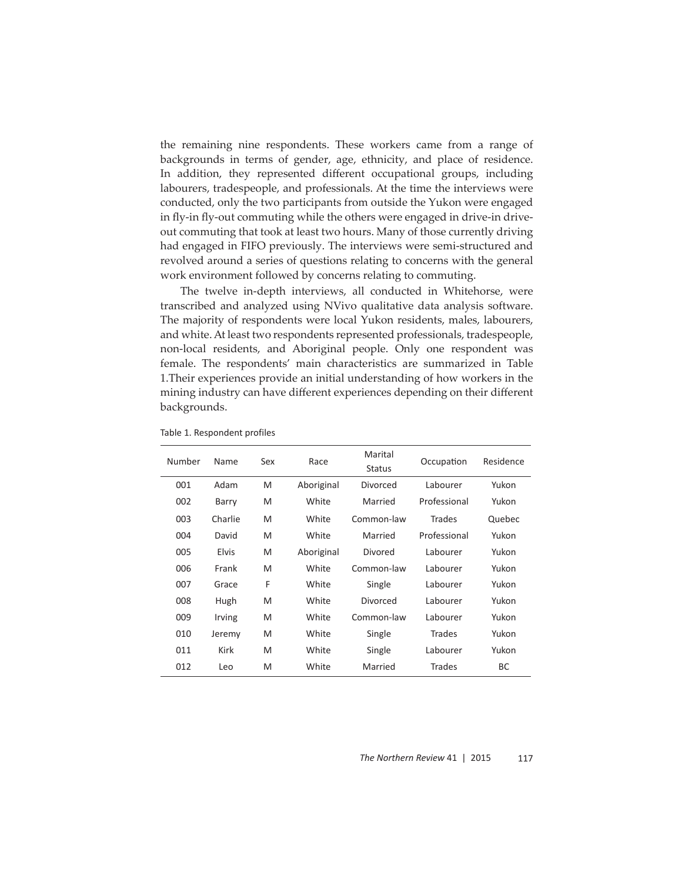the remaining nine respondents. These workers came from a range of backgrounds in terms of gender, age, ethnicity, and place of residence. In addition, they represented different occupational groups, including labourers, tradespeople, and professionals. At the time the interviews were conducted, only the two participants from outside the Yukon were engaged in fly-in fly-out commuting while the others were engaged in drive-in driveout commuting that took at least two hours. Many of those currently driving had engaged in FIFO previously. The interviews were semi-structured and revolved around a series of questions relating to concerns with the general work environment followed by concerns relating to commuting.

The twelve in-depth interviews, all conducted in Whitehorse, were transcribed and analyzed using NVivo qualitative data analysis software. The majority of respondents were local Yukon residents, males, labourers, and white. At least two respondents represented professionals, tradespeople, non-local residents, and Aboriginal people. Only one respondent was female. The respondents' main characteristics are summarized in Table 1.Their experiences provide an initial understanding of how workers in the mining industry can have different experiences depending on their different backgrounds.

| Number | Name         | Sex | Race       | Marital<br><b>Status</b> | Occupation    | Residence |
|--------|--------------|-----|------------|--------------------------|---------------|-----------|
| 001    | Adam         | M   | Aboriginal | Divorced                 | Labourer      | Yukon     |
| 002    | Barry        | M   | White      | Married                  | Professional  | Yukon     |
| 003    | Charlie      | M   | White      | Common-law               | Trades        | Quebec    |
| 004    | David        | M   | White      | Married                  | Professional  | Yukon     |
| 005    | <b>Elvis</b> | M   | Aboriginal | Divored                  | Labourer      | Yukon     |
| 006    | Frank        | M   | White      | Common-law               | Labourer      | Yukon     |
| 007    | Grace        | F   | White      | Single                   | Labourer      | Yukon     |
| 008    | Hugh         | M   | White      | Divorced                 | Labourer      | Yukon     |
| 009    | Irving       | M   | White      | Common-law               | Labourer      | Yukon     |
| 010    | Jeremy       | M   | White      | Single                   | <b>Trades</b> | Yukon     |
| 011    | Kirk         | M   | White      | Single                   | Labourer      | Yukon     |
| 012    | Leo          | M   | White      | Married                  | Trades        | <b>BC</b> |

Table 1. Respondent profiles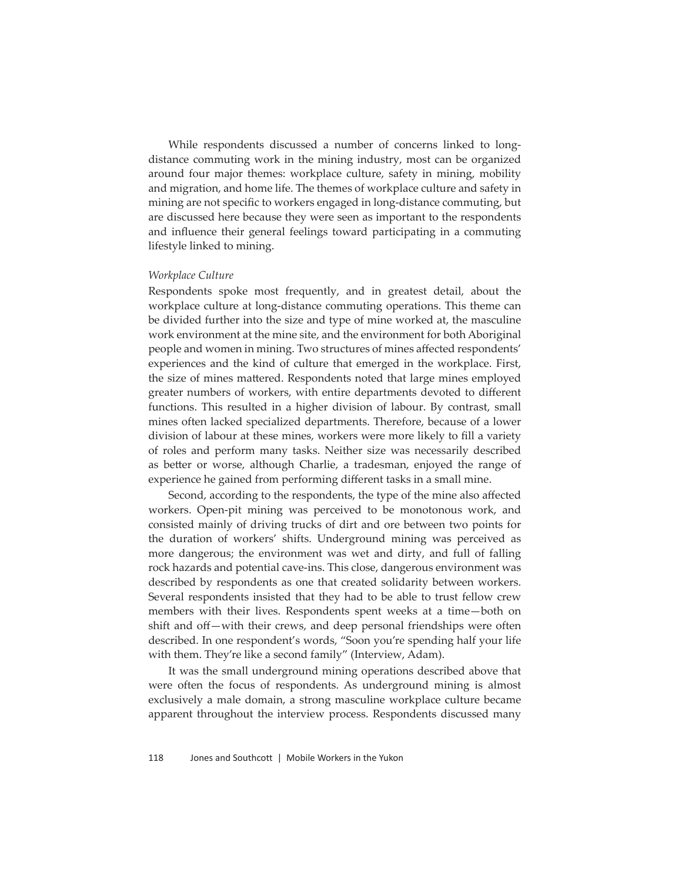While respondents discussed a number of concerns linked to longdistance commuting work in the mining industry, most can be organized around four major themes: workplace culture, safety in mining, mobility and migration, and home life. The themes of workplace culture and safety in mining are not specific to workers engaged in long-distance commuting, but are discussed here because they were seen as important to the respondents and influence their general feelings toward participating in a commuting lifestyle linked to mining.

#### *Workplace Culture*

Respondents spoke most frequently, and in greatest detail, about the workplace culture at long-distance commuting operations. This theme can be divided further into the size and type of mine worked at, the masculine work environment at the mine site, and the environment for both Aboriginal people and women in mining. Two structures of mines affected respondents' experiences and the kind of culture that emerged in the workplace. First, the size of mines mattered. Respondents noted that large mines employed greater numbers of workers, with entire departments devoted to different functions. This resulted in a higher division of labour. By contrast, small mines often lacked specialized departments. Therefore, because of a lower division of labour at these mines, workers were more likely to fill a variety of roles and perform many tasks. Neither size was necessarily described as better or worse, although Charlie, a tradesman, enjoyed the range of experience he gained from performing different tasks in a small mine.

Second, according to the respondents, the type of the mine also affected workers. Open-pit mining was perceived to be monotonous work, and consisted mainly of driving trucks of dirt and ore between two points for the duration of workers' shifts. Underground mining was perceived as more dangerous; the environment was wet and dirty, and full of falling rock hazards and potential cave-ins. This close, dangerous environment was described by respondents as one that created solidarity between workers. Several respondents insisted that they had to be able to trust fellow crew members with their lives. Respondents spent weeks at a time—both on shift and off-with their crews, and deep personal friendships were often described. In one respondent's words, "Soon you're spending half your life with them. They're like a second family" (Interview, Adam).

It was the small underground mining operations described above that were often the focus of respondents. As underground mining is almost exclusively a male domain, a strong masculine workplace culture became apparent throughout the interview process. Respondents discussed many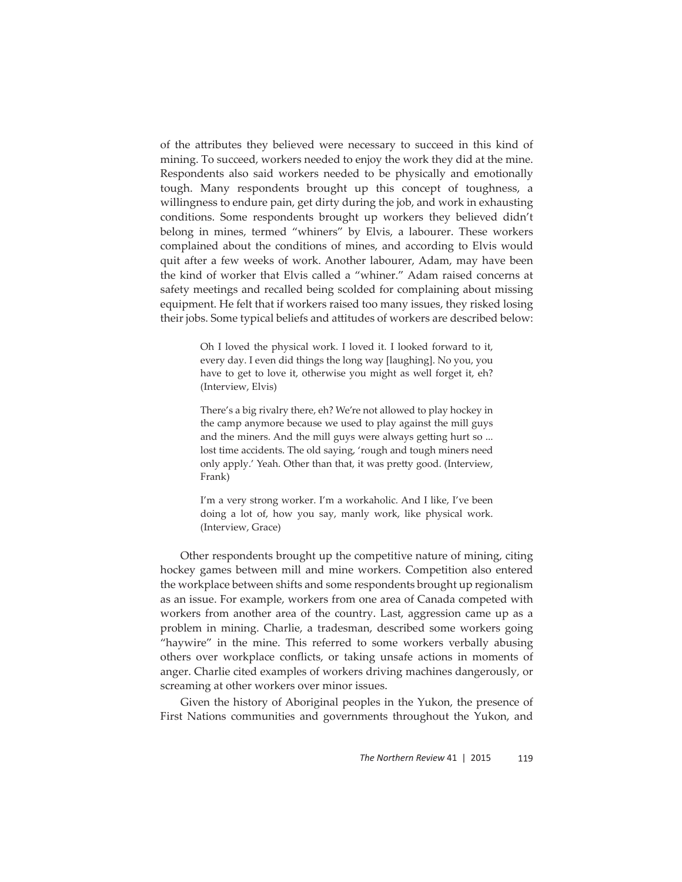of the attributes they believed were necessary to succeed in this kind of mining. To succeed, workers needed to enjoy the work they did at the mine. Respondents also said workers needed to be physically and emotionally tough. Many respondents brought up this concept of toughness, a willingness to endure pain, get dirty during the job, and work in exhausting conditions. Some respondents brought up workers they believed didn't belong in mines, termed "whiners" by Elvis, a labourer. These workers complained about the conditions of mines, and according to Elvis would quit after a few weeks of work. Another labourer, Adam, may have been the kind of worker that Elvis called a "whiner." Adam raised concerns at safety meetings and recalled being scolded for complaining about missing equipment. He felt that if workers raised too many issues, they risked losing their jobs. Some typical beliefs and attitudes of workers are described below:

> Oh I loved the physical work. I loved it. I looked forward to it, every day. I even did things the long way [laughing]. No you, you have to get to love it, otherwise you might as well forget it, eh? (Interview, Elvis)

> There's a big rivalry there, eh? We're not allowed to play hockey in the camp anymore because we used to play against the mill guys and the miners. And the mill guys were always getting hurt so ... lost time accidents. The old saying, 'rough and tough miners need only apply.' Yeah. Other than that, it was pretty good. (Interview, Frank)

> I'm a very strong worker. I'm a workaholic. And I like, I've been doing a lot of, how you say, manly work, like physical work. (Interview, Grace)

Other respondents brought up the competitive nature of mining, citing hockey games between mill and mine workers. Competition also entered the workplace between shifts and some respondents brought up regionalism as an issue. For example, workers from one area of Canada competed with workers from another area of the country. Last, aggression came up as a problem in mining. Charlie, a tradesman, described some workers going "haywire" in the mine. This referred to some workers verbally abusing others over workplace conflicts, or taking unsafe actions in moments of anger. Charlie cited examples of workers driving machines dangerously, or screaming at other workers over minor issues.

Given the history of Aboriginal peoples in the Yukon, the presence of First Nations communities and governments throughout the Yukon, and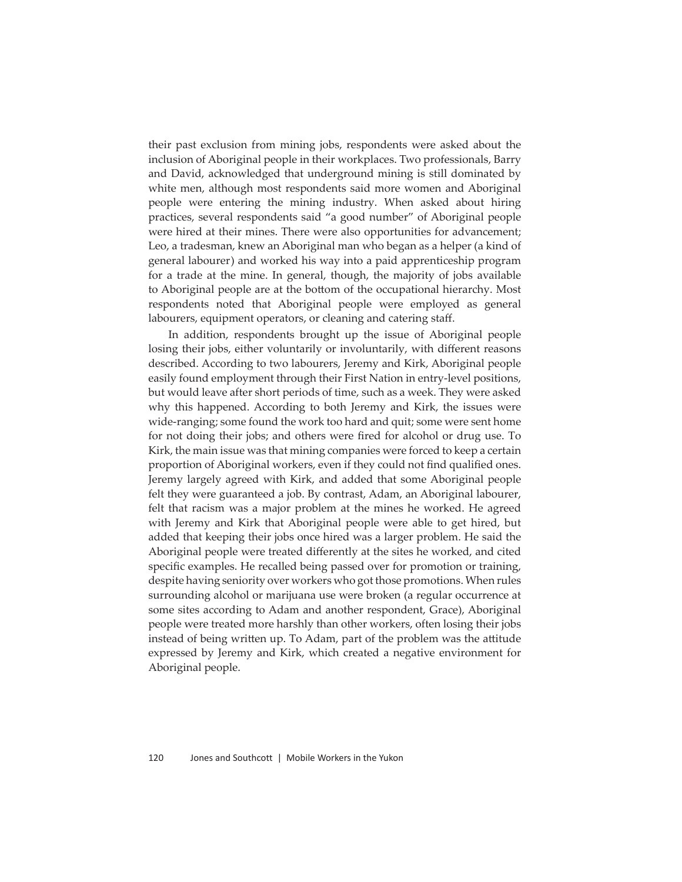their past exclusion from mining jobs, respondents were asked about the inclusion of Aboriginal people in their workplaces. Two professionals, Barry and David, acknowledged that underground mining is still dominated by white men, although most respondents said more women and Aboriginal people were entering the mining industry. When asked about hiring practices, several respondents said "a good number" of Aboriginal people were hired at their mines. There were also opportunities for advancement; Leo, a tradesman, knew an Aboriginal man who began as a helper (a kind of general labourer) and worked his way into a paid apprenticeship program for a trade at the mine. In general, though, the majority of jobs available to Aboriginal people are at the bottom of the occupational hierarchy. Most respondents noted that Aboriginal people were employed as general labourers, equipment operators, or cleaning and catering staff.

In addition, respondents brought up the issue of Aboriginal people losing their jobs, either voluntarily or involuntarily, with different reasons described. According to two labourers, Jeremy and Kirk, Aboriginal people easily found employment through their First Nation in entry-level positions, but would leave after short periods of time, such as a week. They were asked why this happened. According to both Jeremy and Kirk, the issues were wide-ranging; some found the work too hard and quit; some were sent home for not doing their jobs; and others were fired for alcohol or drug use. To Kirk, the main issue was that mining companies were forced to keep a certain proportion of Aboriginal workers, even if they could not find qualified ones. Jeremy largely agreed with Kirk, and added that some Aboriginal people felt they were guaranteed a job. By contrast, Adam, an Aboriginal labourer, felt that racism was a major problem at the mines he worked. He agreed with Jeremy and Kirk that Aboriginal people were able to get hired, but added that keeping their jobs once hired was a larger problem. He said the Aboriginal people were treated differently at the sites he worked, and cited specific examples. He recalled being passed over for promotion or training, despite having seniority over workers who got those promotions. When rules surrounding alcohol or marijuana use were broken (a regular occurrence at some sites according to Adam and another respondent, Grace), Aboriginal people were treated more harshly than other workers, often losing their jobs instead of being written up. To Adam, part of the problem was the attitude expressed by Jeremy and Kirk, which created a negative environment for Aboriginal people.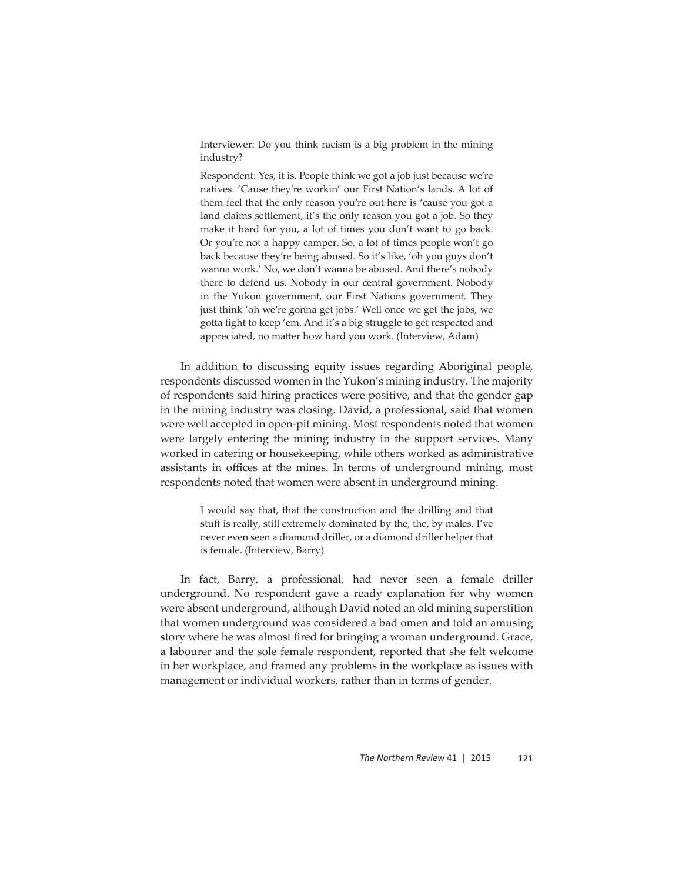Interviewer: Do you think racism is a big problem in the mining industry?

Respondent: Yes, it is. People think we got a job just because we're natives. 'Cause they're workin' our First Nation's lands. A lot of them feel that the only reason you're out here is 'cause you got a land claims settlement, it's the only reason you got a job. So they make it hard for you, a lot of times you don't want to go back. Or you're not a happy camper. So, a lot of times people won't go back because they're being abused. So it's like, 'oh you guys don't wanna work.' No, we don't wanna be abused. And there's nobody there to defend us. Nobody in our central government. Nobody in the Yukon government, our First Nations government. They just think 'oh we're gonna get jobs.' Well once we get the jobs, we gotta fight to keep 'em. And it's a big struggle to get respected and appreciated, no matter how hard you work. (Interview, Adam)

In addition to discussing equity issues regarding Aboriginal people, respondents discussed women in the Yukon's mining industry. The majority of respondents said hiring practices were positive, and that the gender gap in the mining industry was closing. David, a professional, said that women were well accepted in open-pit mining. Most respondents noted that women were largely entering the mining industry in the support services. Many worked in catering or housekeeping, while others worked as administrative assistants in offices at the mines. In terms of underground mining, most respondents noted that women were absent in underground mining.

> I would say that, that the construction and the drilling and that stuff is really, still extremely dominated by the, the, by males. I've never even seen a diamond driller, or a diamond driller helper that is female. (Interview, Barry)

In fact, Barry, a professional, had never seen a female driller underground. No respondent gave a ready explanation for why women were absent underground, although David noted an old mining superstition that women underground was considered a bad omen and told an amusing story where he was almost fired for bringing a woman underground. Grace, a labourer and the sole female respondent, reported that she felt welcome in her workplace, and framed any problems in the workplace as issues with management or individual workers, rather than in terms of gender.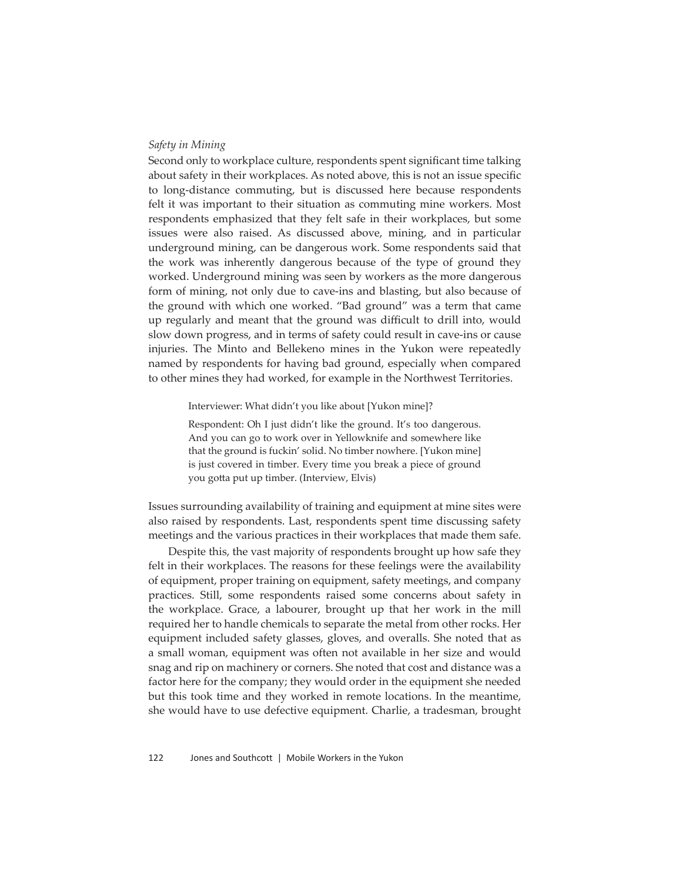#### *Safety in Mining*

Second only to workplace culture, respondents spent significant time talking about safety in their workplaces. As noted above, this is not an issue specific to long-distance commuting, but is discussed here because respondents felt it was important to their situation as commuting mine workers. Most respondents emphasized that they felt safe in their workplaces, but some issues were also raised. As discussed above, mining, and in particular underground mining, can be dangerous work. Some respondents said that the work was inherently dangerous because of the type of ground they worked. Underground mining was seen by workers as the more dangerous form of mining, not only due to cave-ins and blasting, but also because of the ground with which one worked. "Bad ground" was a term that came up regularly and meant that the ground was difficult to drill into, would slow down progress, and in terms of safety could result in cave-ins or cause injuries. The Minto and Bellekeno mines in the Yukon were repeatedly named by respondents for having bad ground, especially when compared to other mines they had worked, for example in the Northwest Territories.

Interviewer: What didn't you like about [Yukon mine]?

Respondent: Oh I just didn't like the ground. It's too dangerous. And you can go to work over in Yellowknife and somewhere like that the ground is fuckin' solid. No timber nowhere. [Yukon mine] is just covered in timber. Every time you break a piece of ground you gotta put up timber. (Interview, Elvis)

Issues surrounding availability of training and equipment at mine sites were also raised by respondents. Last, respondents spent time discussing safety meetings and the various practices in their workplaces that made them safe.

Despite this, the vast majority of respondents brought up how safe they felt in their workplaces. The reasons for these feelings were the availability of equipment, proper training on equipment, safety meetings, and company practices. Still, some respondents raised some concerns about safety in the workplace. Grace, a labourer, brought up that her work in the mill required her to handle chemicals to separate the metal from other rocks. Her equipment included safety glasses, gloves, and overalls. She noted that as a small woman, equipment was often not available in her size and would snag and rip on machinery or corners. She noted that cost and distance was a factor here for the company; they would order in the equipment she needed but this took time and they worked in remote locations. In the meantime, she would have to use defective equipment. Charlie, a tradesman, brought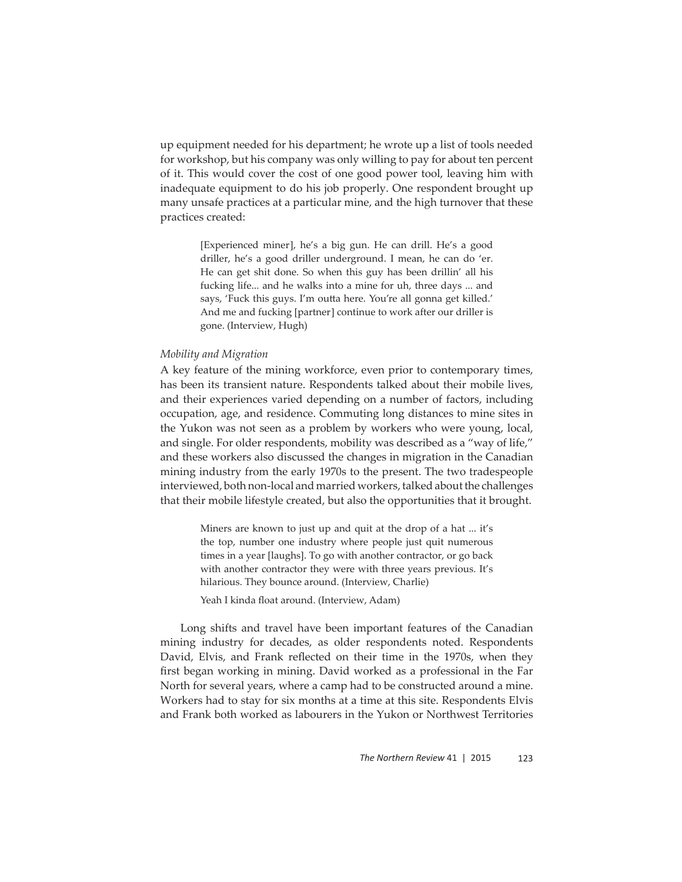up equipment needed for his department; he wrote up a list of tools needed for workshop, but his company was only willing to pay for about ten percent of it. This would cover the cost of one good power tool, leaving him with inadequate equipment to do his job properly. One respondent brought up many unsafe practices at a particular mine, and the high turnover that these practices created:

> [Experienced miner], he's a big gun. He can drill. He's a good driller, he's a good driller underground. I mean, he can do 'er. He can get shit done. So when this guy has been drillin' all his fucking life... and he walks into a mine for uh, three days ... and says, 'Fuck this guys. I'm outta here. You're all gonna get killed.' And me and fucking [partner] continue to work after our driller is gone. (Interview, Hugh)

#### *Mobility and Migration*

A key feature of the mining workforce, even prior to contemporary times, has been its transient nature. Respondents talked about their mobile lives, and their experiences varied depending on a number of factors, including occupation, age, and residence. Commuting long distances to mine sites in the Yukon was not seen as a problem by workers who were young, local, and single. For older respondents, mobility was described as a "way of life," and these workers also discussed the changes in migration in the Canadian mining industry from the early 1970s to the present. The two tradespeople interviewed, both non-local and married workers, talked about the challenges that their mobile lifestyle created, but also the opportunities that it brought.

> Miners are known to just up and quit at the drop of a hat ... it's the top, number one industry where people just quit numerous times in a year [laughs]. To go with another contractor, or go back with another contractor they were with three years previous. It's hilarious. They bounce around. (Interview, Charlie)

Yeah I kinda float around. (Interview, Adam)

Long shifts and travel have been important features of the Canadian mining industry for decades, as older respondents noted. Respondents David, Elvis, and Frank reflected on their time in the 1970s, when they first began working in mining. David worked as a professional in the Far North for several years, where a camp had to be constructed around a mine. Workers had to stay for six months at a time at this site. Respondents Elvis and Frank both worked as labourers in the Yukon or Northwest Territories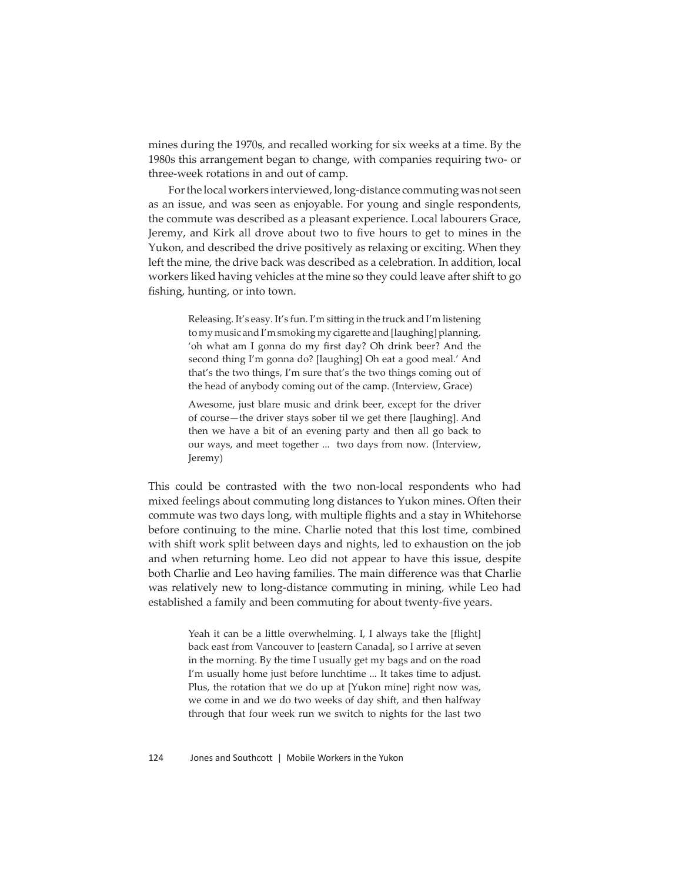mines during the 1970s, and recalled working for six weeks at a time. By the 1980s this arrangement began to change, with companies requiring two- or three-week rotations in and out of camp.

For the local workers interviewed, long-distance commuting was not seen as an issue, and was seen as enjoyable. For young and single respondents, the commute was described as a pleasant experience. Local labourers Grace, Jeremy, and Kirk all drove about two to five hours to get to mines in the Yukon, and described the drive positively as relaxing or exciting. When they left the mine, the drive back was described as a celebration. In addition, local workers liked having vehicles at the mine so they could leave after shift to go fishing, hunting, or into town.

> Releasing. It's easy. It's fun. I'm sitting in the truck and I'm listening to my music and I'm smoking my cigarette and [laughing] planning, 'oh what am I gonna do my first day? Oh drink beer? And the second thing I'm gonna do? [laughing] Oh eat a good meal.' And that's the two things, I'm sure that's the two things coming out of the head of anybody coming out of the camp. (Interview, Grace)

> Awesome, just blare music and drink beer, except for the driver of course—the driver stays sober til we get there [laughing]. And then we have a bit of an evening party and then all go back to our ways, and meet together ... two days from now. (Interview, Jeremy)

This could be contrasted with the two non-local respondents who had mixed feelings about commuting long distances to Yukon mines. Often their commute was two days long, with multiple flights and a stay in Whitehorse before continuing to the mine. Charlie noted that this lost time, combined with shift work split between days and nights, led to exhaustion on the job and when returning home. Leo did not appear to have this issue, despite both Charlie and Leo having families. The main difference was that Charlie was relatively new to long-distance commuting in mining, while Leo had established a family and been commuting for about twenty-five years.

> Yeah it can be a little overwhelming. I, I always take the [flight] back east from Vancouver to [eastern Canada], so I arrive at seven in the morning. By the time I usually get my bags and on the road I'm usually home just before lunchtime ... It takes time to adjust. Plus, the rotation that we do up at [Yukon mine] right now was, we come in and we do two weeks of day shift, and then halfway through that four week run we switch to nights for the last two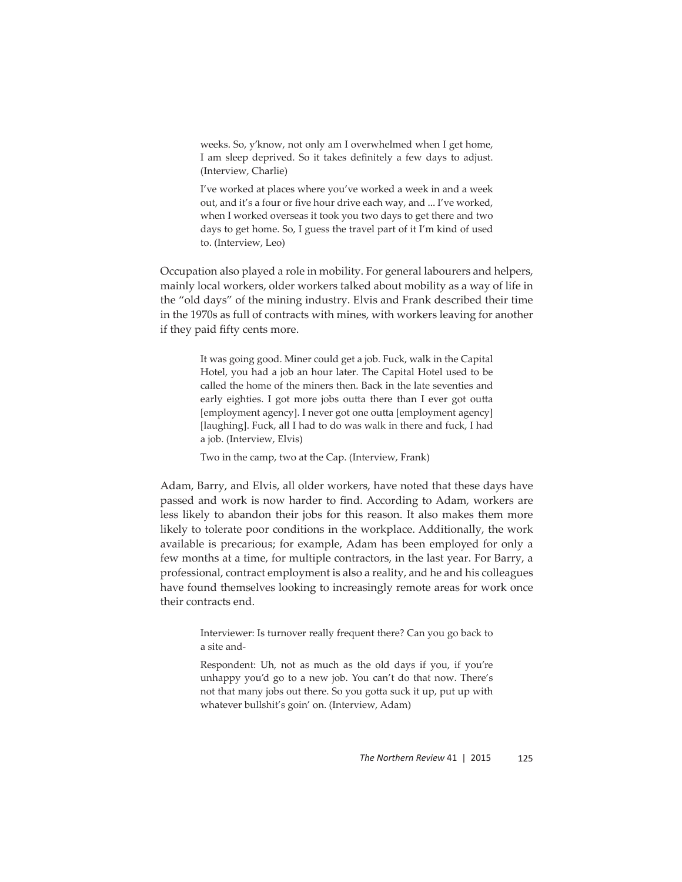weeks. So, y'know, not only am I overwhelmed when I get home, I am sleep deprived. So it takes definitely a few days to adjust. (Interview, Charlie)

I've worked at places where you've worked a week in and a week out, and it's a four or five hour drive each way, and ... I've worked, when I worked overseas it took you two days to get there and two days to get home. So, I guess the travel part of it I'm kind of used to. (Interview, Leo)

Occupation also played a role in mobility. For general labourers and helpers, mainly local workers, older workers talked about mobility as a way of life in the "old days" of the mining industry. Elvis and Frank described their time in the 1970s as full of contracts with mines, with workers leaving for another if they paid fifty cents more.

> It was going good. Miner could get a job. Fuck, walk in the Capital Hotel, you had a job an hour later. The Capital Hotel used to be called the home of the miners then. Back in the late seventies and early eighties. I got more jobs outta there than I ever got outta [employment agency]. I never got one outta [employment agency] [laughing]. Fuck, all I had to do was walk in there and fuck, I had a job. (Interview, Elvis)

Two in the camp, two at the Cap. (Interview, Frank)

Adam, Barry, and Elvis, all older workers, have noted that these days have passed and work is now harder to find. According to Adam, workers are less likely to abandon their jobs for this reason. It also makes them more likely to tolerate poor conditions in the workplace. Additionally, the work available is precarious; for example, Adam has been employed for only a few months at a time, for multiple contractors, in the last year. For Barry, a professional, contract employment is also a reality, and he and his colleagues have found themselves looking to increasingly remote areas for work once their contracts end.

> Interviewer: Is turnover really frequent there? Can you go back to a site and-

> Respondent: Uh, not as much as the old days if you, if you're unhappy you'd go to a new job. You can't do that now. There's not that many jobs out there. So you gotta suck it up, put up with whatever bullshit's goin' on. (Interview, Adam)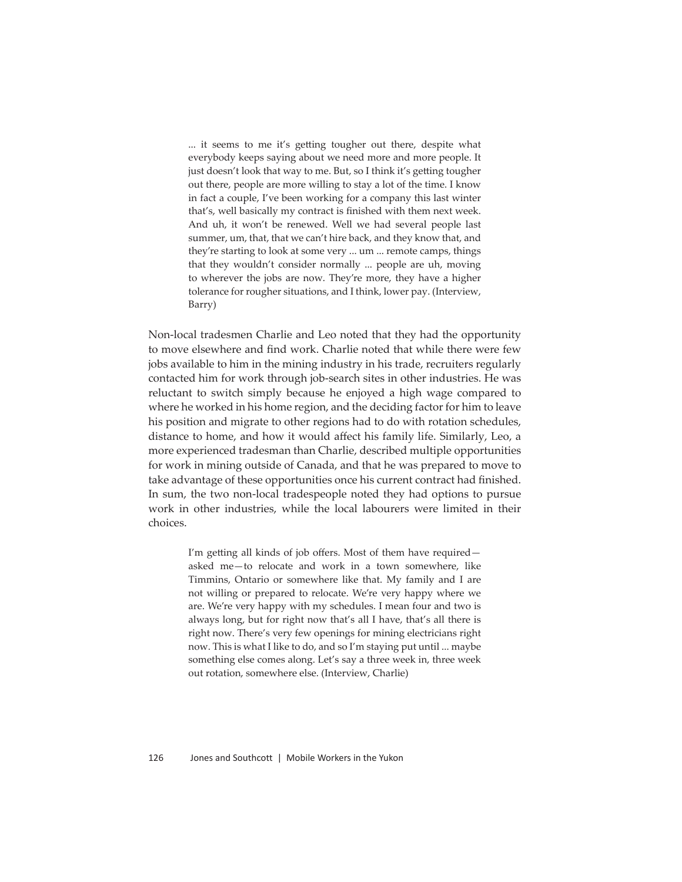... it seems to me it's getting tougher out there, despite what everybody keeps saying about we need more and more people. It just doesn't look that way to me. But, so I think it's getting tougher out there, people are more willing to stay a lot of the time. I know in fact a couple, I've been working for a company this last winter that's, well basically my contract is finished with them next week. And uh, it won't be renewed. Well we had several people last summer, um, that, that we can't hire back, and they know that, and they're starting to look at some very ... um ... remote camps, things that they wouldn't consider normally ... people are uh, moving to wherever the jobs are now. They're more, they have a higher tolerance for rougher situations, and I think, lower pay. (Interview, Barry)

Non-local tradesmen Charlie and Leo noted that they had the opportunity to move elsewhere and find work. Charlie noted that while there were few jobs available to him in the mining industry in his trade, recruiters regularly contacted him for work through job-search sites in other industries. He was reluctant to switch simply because he enjoyed a high wage compared to where he worked in his home region, and the deciding factor for him to leave his position and migrate to other regions had to do with rotation schedules, distance to home, and how it would affect his family life. Similarly, Leo, a more experienced tradesman than Charlie, described multiple opportunities for work in mining outside of Canada, and that he was prepared to move to take advantage of these opportunities once his current contract had finished. In sum, the two non-local tradespeople noted they had options to pursue work in other industries, while the local labourers were limited in their choices.

> I'm getting all kinds of job offers. Most of them have required asked me—to relocate and work in a town somewhere, like Timmins, Ontario or somewhere like that. My family and I are not willing or prepared to relocate. We're very happy where we are. We're very happy with my schedules. I mean four and two is always long, but for right now that's all I have, that's all there is right now. There's very few openings for mining electricians right now. This is what I like to do, and so I'm staying put until ... maybe something else comes along. Let's say a three week in, three week out rotation, somewhere else. (Interview, Charlie)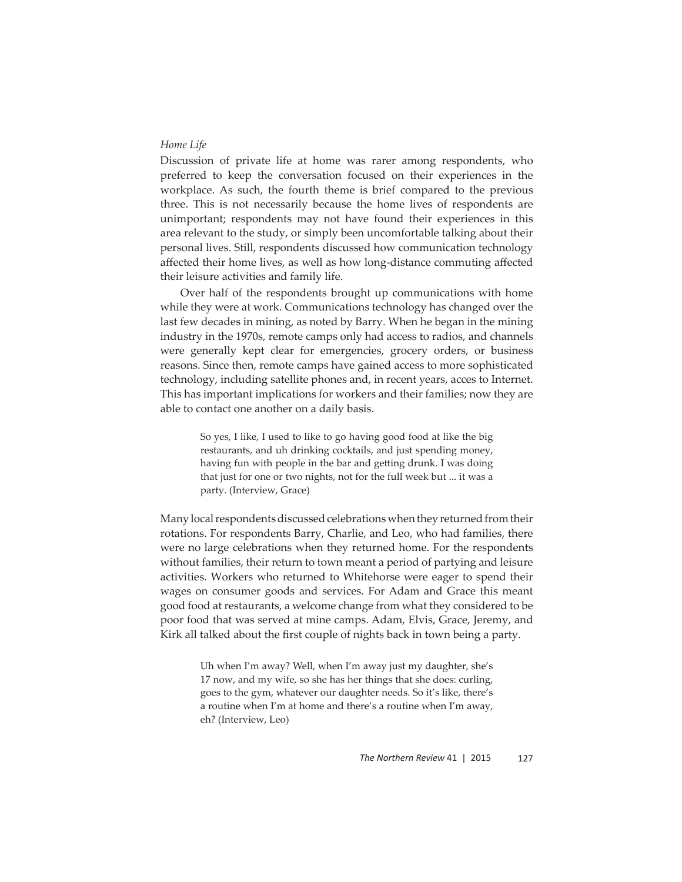#### *Home Life*

Discussion of private life at home was rarer among respondents, who preferred to keep the conversation focused on their experiences in the workplace. As such, the fourth theme is brief compared to the previous three. This is not necessarily because the home lives of respondents are unimportant; respondents may not have found their experiences in this area relevant to the study, or simply been uncomfortable talking about their personal lives. Still, respondents discussed how communication technology affected their home lives, as well as how long-distance commuting affected their leisure activities and family life.

Over half of the respondents brought up communications with home while they were at work. Communications technology has changed over the last few decades in mining, as noted by Barry. When he began in the mining industry in the 1970s, remote camps only had access to radios, and channels were generally kept clear for emergencies, grocery orders, or business reasons. Since then, remote camps have gained access to more sophisticated technology, including satellite phones and, in recent years, acces to Internet. This has important implications for workers and their families; now they are able to contact one another on a daily basis.

> So yes, I like, I used to like to go having good food at like the big restaurants, and uh drinking cocktails, and just spending money, having fun with people in the bar and getting drunk. I was doing that just for one or two nights, not for the full week but ... it was a party. (Interview, Grace)

Many local respondents discussed celebrations when they returned from their rotations. For respondents Barry, Charlie, and Leo, who had families, there were no large celebrations when they returned home. For the respondents without families, their return to town meant a period of partying and leisure activities. Workers who returned to Whitehorse were eager to spend their wages on consumer goods and services. For Adam and Grace this meant good food at restaurants, a welcome change from what they considered to be poor food that was served at mine camps. Adam, Elvis, Grace, Jeremy, and Kirk all talked about the first couple of nights back in town being a party.

> Uh when I'm away? Well, when I'm away just my daughter, she's 17 now, and my wife, so she has her things that she does: curling, goes to the gym, whatever our daughter needs. So it's like, there's a routine when I'm at home and there's a routine when I'm away, eh? (Interview, Leo)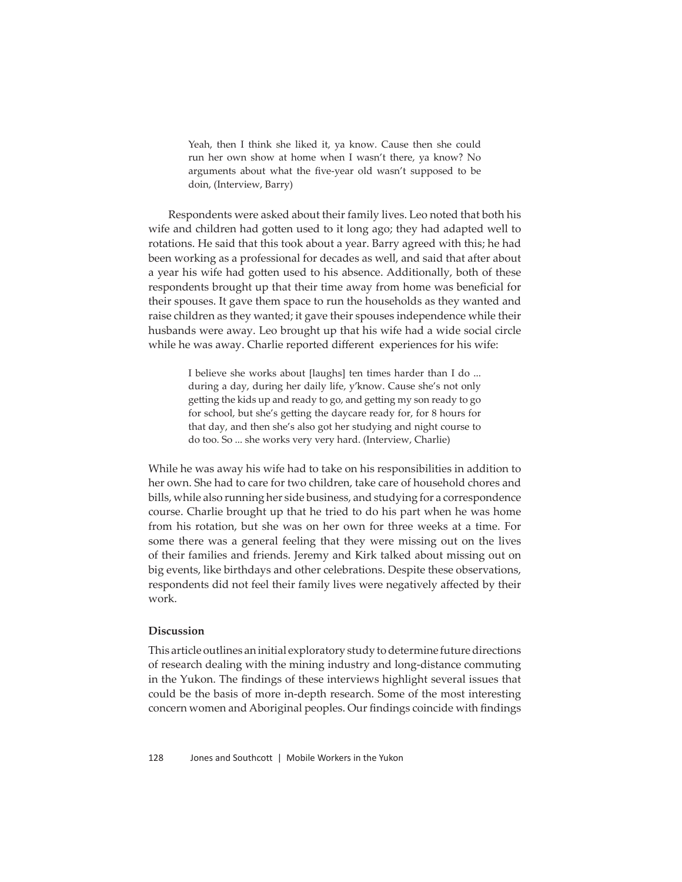Yeah, then I think she liked it, ya know. Cause then she could run her own show at home when I wasn't there, ya know? No arguments about what the five-year old wasn't supposed to be doin, (Interview, Barry)

Respondents were asked about their family lives. Leo noted that both his wife and children had gotten used to it long ago; they had adapted well to rotations. He said that this took about a year. Barry agreed with this; he had been working as a professional for decades as well, and said that after about a year his wife had gotten used to his absence. Additionally, both of these respondents brought up that their time away from home was beneficial for their spouses. It gave them space to run the households as they wanted and raise children as they wanted; it gave their spouses independence while their husbands were away. Leo brought up that his wife had a wide social circle while he was away. Charlie reported different experiences for his wife:

> I believe she works about [laughs] ten times harder than I do ... during a day, during her daily life, y'know. Cause she's not only getting the kids up and ready to go, and getting my son ready to go for school, but she's getting the daycare ready for, for 8 hours for that day, and then she's also got her studying and night course to do too. So ... she works very very hard. (Interview, Charlie)

While he was away his wife had to take on his responsibilities in addition to her own. She had to care for two children, take care of household chores and bills, while also running her side business, and studying for a correspondence course. Charlie brought up that he tried to do his part when he was home from his rotation, but she was on her own for three weeks at a time. For some there was a general feeling that they were missing out on the lives of their families and friends. Jeremy and Kirk talked about missing out on big events, like birthdays and other celebrations. Despite these observations, respondents did not feel their family lives were negatively affected by their work.

#### **Discussion**

This article outlines an initial exploratory study to determine future directions of research dealing with the mining industry and long-distance commuting in the Yukon. The findings of these interviews highlight several issues that could be the basis of more in-depth research. Some of the most interesting concern women and Aboriginal peoples. Our findings coincide with findings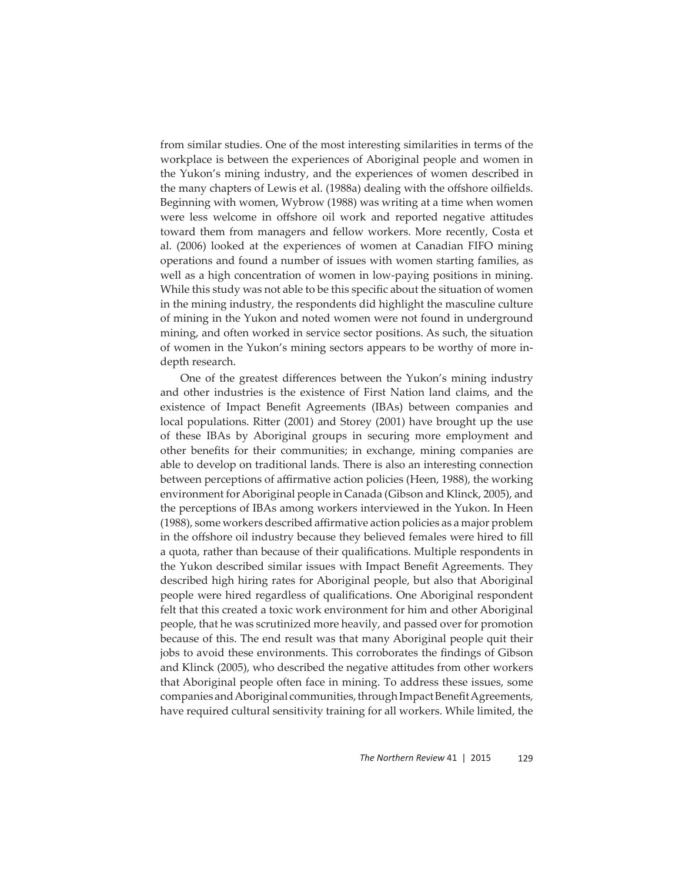from similar studies. One of the most interesting similarities in terms of the workplace is between the experiences of Aboriginal people and women in the Yukon's mining industry, and the experiences of women described in the many chapters of Lewis et al. (1988a) dealing with the offshore oilfields. Beginning with women, Wybrow (1988) was writing at a time when women were less welcome in offshore oil work and reported negative attitudes toward them from managers and fellow workers. More recently, Costa et al. (2006) looked at the experiences of women at Canadian FIFO mining operations and found a number of issues with women starting families, as well as a high concentration of women in low-paying positions in mining. While this study was not able to be this specific about the situation of women in the mining industry, the respondents did highlight the masculine culture of mining in the Yukon and noted women were not found in underground mining, and often worked in service sector positions. As such, the situation of women in the Yukon's mining sectors appears to be worthy of more indepth research.

One of the greatest differences between the Yukon's mining industry and other industries is the existence of First Nation land claims, and the existence of Impact Benefit Agreements (IBAs) between companies and local populations. Ritter (2001) and Storey (2001) have brought up the use of these IBAs by Aboriginal groups in securing more employment and other benefits for their communities; in exchange, mining companies are able to develop on traditional lands. There is also an interesting connection between perceptions of affirmative action policies (Heen, 1988), the working environment for Aboriginal people in Canada (Gibson and Klinck, 2005), and the perceptions of IBAs among workers interviewed in the Yukon. In Heen (1988), some workers described affirmative action policies as a major problem in the offshore oil industry because they believed females were hired to fill a quota, rather than because of their qualifications. Multiple respondents in the Yukon described similar issues with Impact Benefit Agreements. They described high hiring rates for Aboriginal people, but also that Aboriginal people were hired regardless of qualifications. One Aboriginal respondent felt that this created a toxic work environment for him and other Aboriginal people, that he was scrutinized more heavily, and passed over for promotion because of this. The end result was that many Aboriginal people quit their jobs to avoid these environments. This corroborates the findings of Gibson and Klinck (2005), who described the negative attitudes from other workers that Aboriginal people often face in mining. To address these issues, some companies and Aboriginal communities, through Impact Benefit Agreements, have required cultural sensitivity training for all workers. While limited, the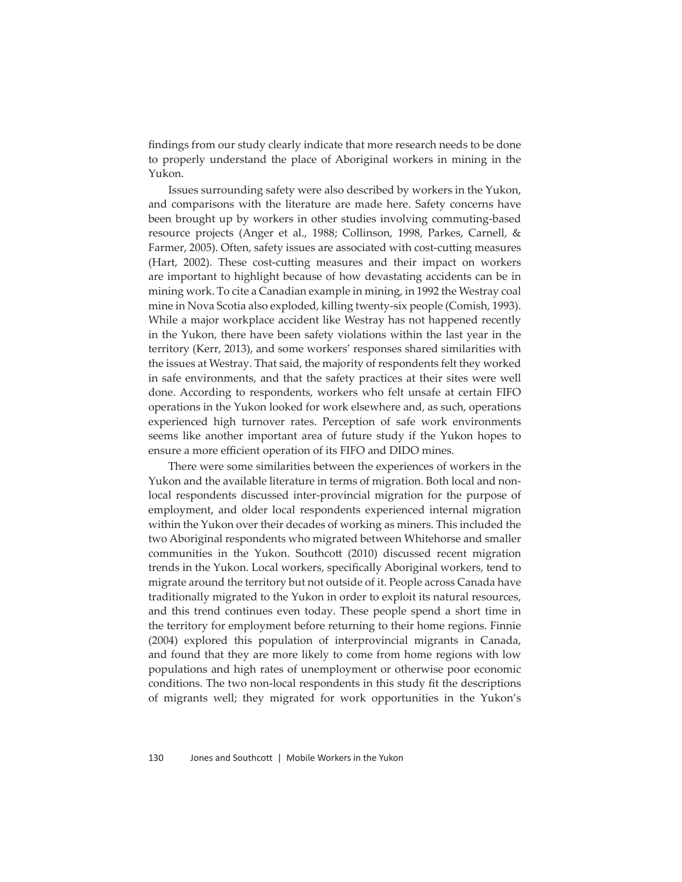findings from our study clearly indicate that more research needs to be done to properly understand the place of Aboriginal workers in mining in the Yukon.

Issues surrounding safety were also described by workers in the Yukon, and comparisons with the literature are made here. Safety concerns have been brought up by workers in other studies involving commuting-based resource projects (Anger et al., 1988; Collinson, 1998, Parkes, Carnell, & Farmer, 2005). Often, safety issues are associated with cost-cutting measures (Hart, 2002). These cost-cutting measures and their impact on workers are important to highlight because of how devastating accidents can be in mining work. To cite a Canadian example in mining, in 1992 the Westray coal mine in Nova Scotia also exploded, killing twenty-six people (Comish, 1993). While a major workplace accident like Westray has not happened recently in the Yukon, there have been safety violations within the last year in the territory (Kerr, 2013), and some workers' responses shared similarities with the issues at Westray. That said, the majority of respondents felt they worked in safe environments, and that the safety practices at their sites were well done. According to respondents, workers who felt unsafe at certain FIFO operations in the Yukon looked for work elsewhere and, as such, operations experienced high turnover rates. Perception of safe work environments seems like another important area of future study if the Yukon hopes to ensure a more efficient operation of its FIFO and DIDO mines.

There were some similarities between the experiences of workers in the Yukon and the available literature in terms of migration. Both local and nonlocal respondents discussed inter-provincial migration for the purpose of employment, and older local respondents experienced internal migration within the Yukon over their decades of working as miners. This included the two Aboriginal respondents who migrated between Whitehorse and smaller communities in the Yukon. Southcott (2010) discussed recent migration trends in the Yukon. Local workers, specifically Aboriginal workers, tend to migrate around the territory but not outside of it. People across Canada have traditionally migrated to the Yukon in order to exploit its natural resources, and this trend continues even today. These people spend a short time in the territory for employment before returning to their home regions. Finnie (2004) explored this population of interprovincial migrants in Canada, and found that they are more likely to come from home regions with low populations and high rates of unemployment or otherwise poor economic conditions. The two non-local respondents in this study fit the descriptions of migrants well; they migrated for work opportunities in the Yukon's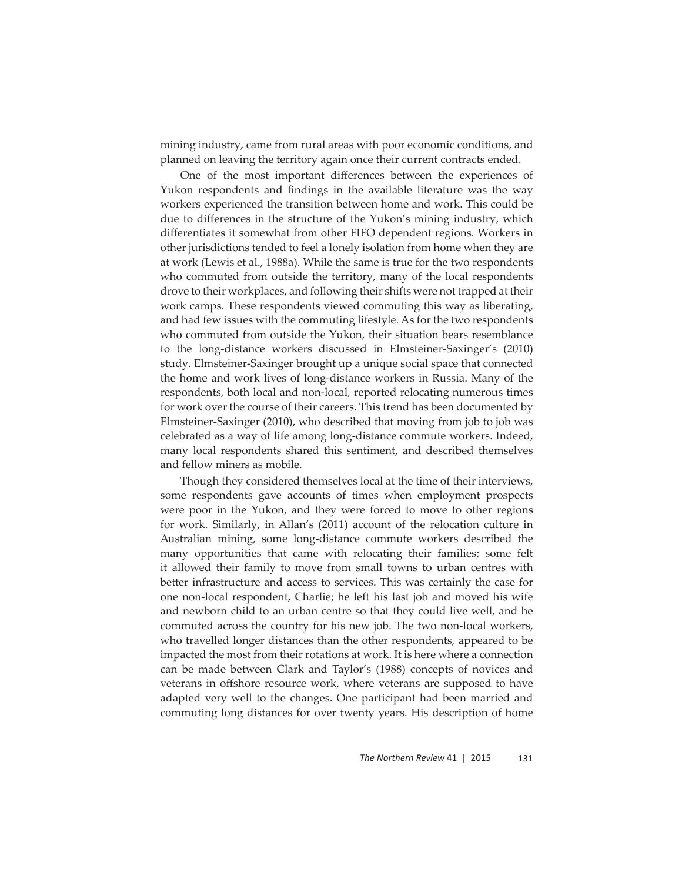mining industry, came from rural areas with poor economic conditions, and planned on leaving the territory again once their current contracts ended.

One of the most important differences between the experiences of Yukon respondents and findings in the available literature was the way workers experienced the transition between home and work. This could be due to differences in the structure of the Yukon's mining industry, which differentiates it somewhat from other FIFO dependent regions. Workers in other jurisdictions tended to feel a lonely isolation from home when they are at work (Lewis et al., 1988a). While the same is true for the two respondents who commuted from outside the territory, many of the local respondents drove to their workplaces, and following their shifts were not trapped at their work camps. These respondents viewed commuting this way as liberating, and had few issues with the commuting lifestyle. As for the two respondents who commuted from outside the Yukon, their situation bears resemblance to the long-distance workers discussed in Elmsteiner-Saxinger's (2010) study. Elmsteiner-Saxinger brought up a unique social space that connected the home and work lives of long-distance workers in Russia. Many of the respondents, both local and non-local, reported relocating numerous times for work over the course of their careers. This trend has been documented by Elmsteiner-Saxinger (2010), who described that moving from job to job was celebrated as a way of life among long-distance commute workers. Indeed, many local respondents shared this sentiment, and described themselves and fellow miners as mobile.

Though they considered themselves local at the time of their interviews, some respondents gave accounts of times when employment prospects were poor in the Yukon, and they were forced to move to other regions for work. Similarly, in Allan's (2011) account of the relocation culture in Australian mining, some long-distance commute workers described the many opportunities that came with relocating their families; some felt it allowed their family to move from small towns to urban centres with better infrastructure and access to services. This was certainly the case for one non-local respondent, Charlie; he left his last job and moved his wife and newborn child to an urban centre so that they could live well, and he commuted across the country for his new job. The two non-local workers, who travelled longer distances than the other respondents, appeared to be impacted the most from their rotations at work. It is here where a connection can be made between Clark and Taylor's (1988) concepts of novices and veterans in offshore resource work, where veterans are supposed to have adapted very well to the changes. One participant had been married and commuting long distances for over twenty years. His description of home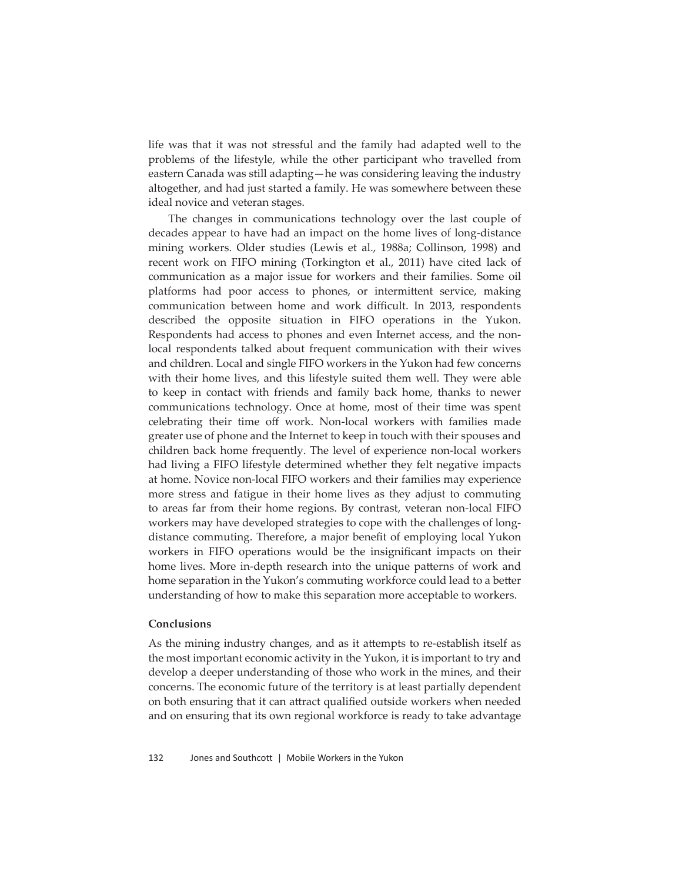life was that it was not stressful and the family had adapted well to the problems of the lifestyle, while the other participant who travelled from eastern Canada was still adapting—he was considering leaving the industry altogether, and had just started a family. He was somewhere between these ideal novice and veteran stages.

The changes in communications technology over the last couple of decades appear to have had an impact on the home lives of long-distance mining workers. Older studies (Lewis et al., 1988a; Collinson, 1998) and recent work on FIFO mining (Torkington et al., 2011) have cited lack of communication as a major issue for workers and their families. Some oil platforms had poor access to phones, or intermittent service, making communication between home and work difficult. In 2013, respondents described the opposite situation in FIFO operations in the Yukon. Respondents had access to phones and even Internet access, and the nonlocal respondents talked about frequent communication with their wives and children. Local and single FIFO workers in the Yukon had few concerns with their home lives, and this lifestyle suited them well. They were able to keep in contact with friends and family back home, thanks to newer communications technology. Once at home, most of their time was spent celebrating their time off work. Non-local workers with families made greater use of phone and the Internet to keep in touch with their spouses and children back home frequently. The level of experience non-local workers had living a FIFO lifestyle determined whether they felt negative impacts at home. Novice non-local FIFO workers and their families may experience more stress and fatigue in their home lives as they adjust to commuting to areas far from their home regions. By contrast, veteran non-local FIFO workers may have developed strategies to cope with the challenges of longdistance commuting. Therefore, a major benefit of employing local Yukon workers in FIFO operations would be the insignificant impacts on their home lives. More in-depth research into the unique patterns of work and home separation in the Yukon's commuting workforce could lead to a better understanding of how to make this separation more acceptable to workers.

# **Conclusions**

As the mining industry changes, and as it attempts to re-establish itself as the most important economic activity in the Yukon, it is important to try and develop a deeper understanding of those who work in the mines, and their concerns. The economic future of the territory is at least partially dependent on both ensuring that it can attract qualified outside workers when needed and on ensuring that its own regional workforce is ready to take advantage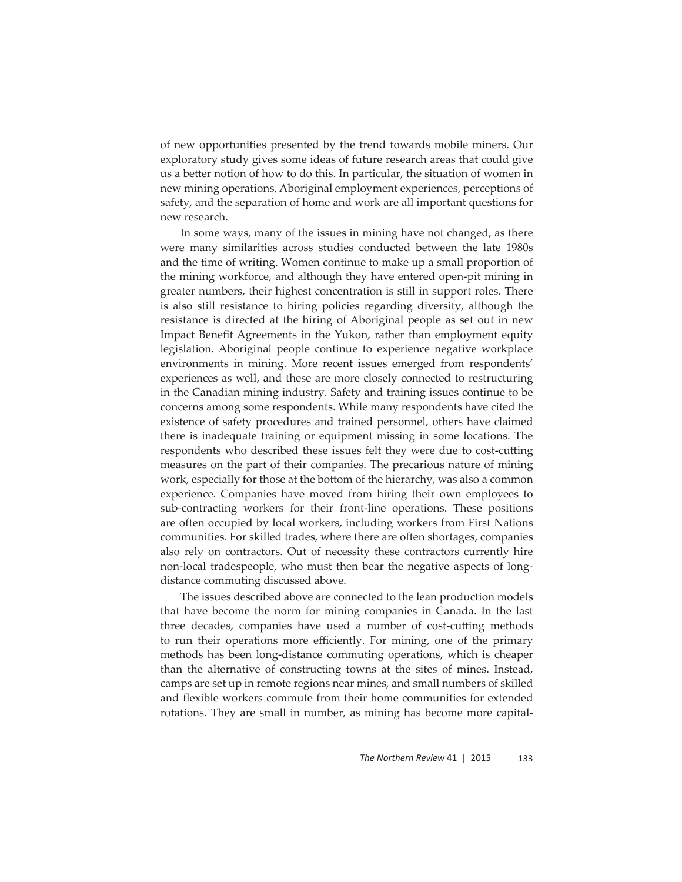of new opportunities presented by the trend towards mobile miners. Our exploratory study gives some ideas of future research areas that could give us a better notion of how to do this. In particular, the situation of women in new mining operations, Aboriginal employment experiences, perceptions of safety, and the separation of home and work are all important questions for new research.

In some ways, many of the issues in mining have not changed, as there were many similarities across studies conducted between the late 1980s and the time of writing. Women continue to make up a small proportion of the mining workforce, and although they have entered open-pit mining in greater numbers, their highest concentration is still in support roles. There is also still resistance to hiring policies regarding diversity, although the resistance is directed at the hiring of Aboriginal people as set out in new Impact Benefit Agreements in the Yukon, rather than employment equity legislation. Aboriginal people continue to experience negative workplace environments in mining. More recent issues emerged from respondents' experiences as well, and these are more closely connected to restructuring in the Canadian mining industry. Safety and training issues continue to be concerns among some respondents. While many respondents have cited the existence of safety procedures and trained personnel, others have claimed there is inadequate training or equipment missing in some locations. The respondents who described these issues felt they were due to cost-cutting measures on the part of their companies. The precarious nature of mining work, especially for those at the bottom of the hierarchy, was also a common experience. Companies have moved from hiring their own employees to sub-contracting workers for their front-line operations. These positions are often occupied by local workers, including workers from First Nations communities. For skilled trades, where there are often shortages, companies also rely on contractors. Out of necessity these contractors currently hire non-local tradespeople, who must then bear the negative aspects of longdistance commuting discussed above.

The issues described above are connected to the lean production models that have become the norm for mining companies in Canada. In the last three decades, companies have used a number of cost-cutting methods to run their operations more efficiently. For mining, one of the primary methods has been long-distance commuting operations, which is cheaper than the alternative of constructing towns at the sites of mines. Instead, camps are set up in remote regions near mines, and small numbers of skilled and flexible workers commute from their home communities for extended rotations. They are small in number, as mining has become more capital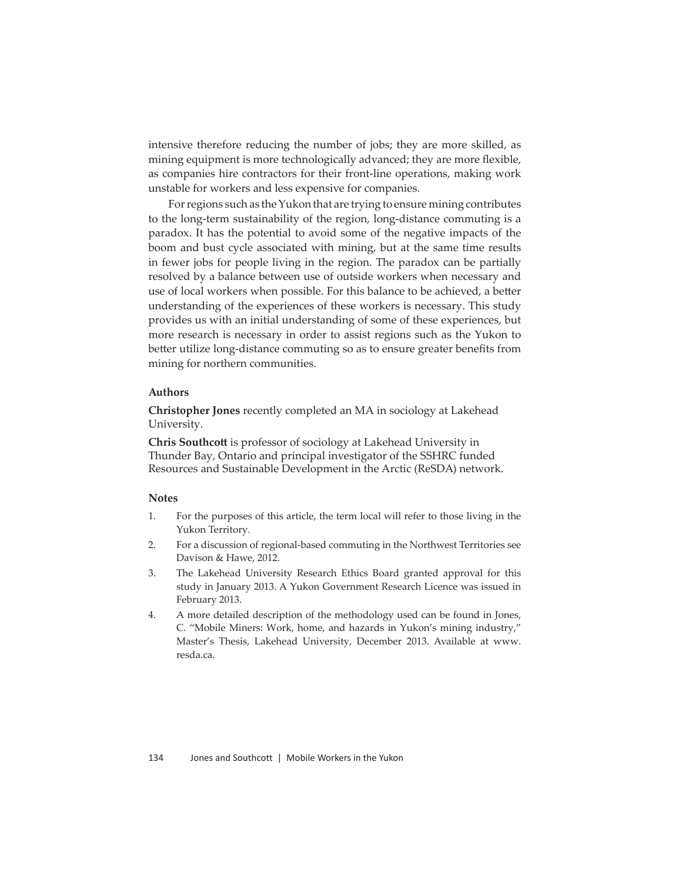intensive therefore reducing the number of jobs; they are more skilled, as mining equipment is more technologically advanced; they are more flexible, as companies hire contractors for their front-line operations, making work unstable for workers and less expensive for companies.

For regions such as the Yukon that are trying to ensure mining contributes to the long-term sustainability of the region, long-distance commuting is a paradox. It has the potential to avoid some of the negative impacts of the boom and bust cycle associated with mining, but at the same time results in fewer jobs for people living in the region. The paradox can be partially resolved by a balance between use of outside workers when necessary and use of local workers when possible. For this balance to be achieved, a better understanding of the experiences of these workers is necessary. This study provides us with an initial understanding of some of these experiences, but more research is necessary in order to assist regions such as the Yukon to better utilize long-distance commuting so as to ensure greater benefits from mining for northern communities.

# **Authors**

**Christopher Jones** recently completed an MA in sociology at Lakehead University.

**Chris Southcott** is professor of sociology at Lakehead University in Thunder Bay, Ontario and principal investigator of the SSHRC funded Resources and Sustainable Development in the Arctic (ReSDA) network.

#### **Notes**

- 1. For the purposes of this article, the term local will refer to those living in the Yukon Territory.
- 2. For a discussion of regional-based commuting in the Northwest Territories see Davison & Hawe, 2012.
- 3. The Lakehead University Research Ethics Board granted approval for this study in January 2013. A Yukon Government Research Licence was issued in February 2013.
- 4. A more detailed description of the methodology used can be found in Jones, C. "Mobile Miners: Work, home, and hazards in Yukon's mining industry," Master's Thesis, Lakehead University, December 2013. Available at www. resda.ca.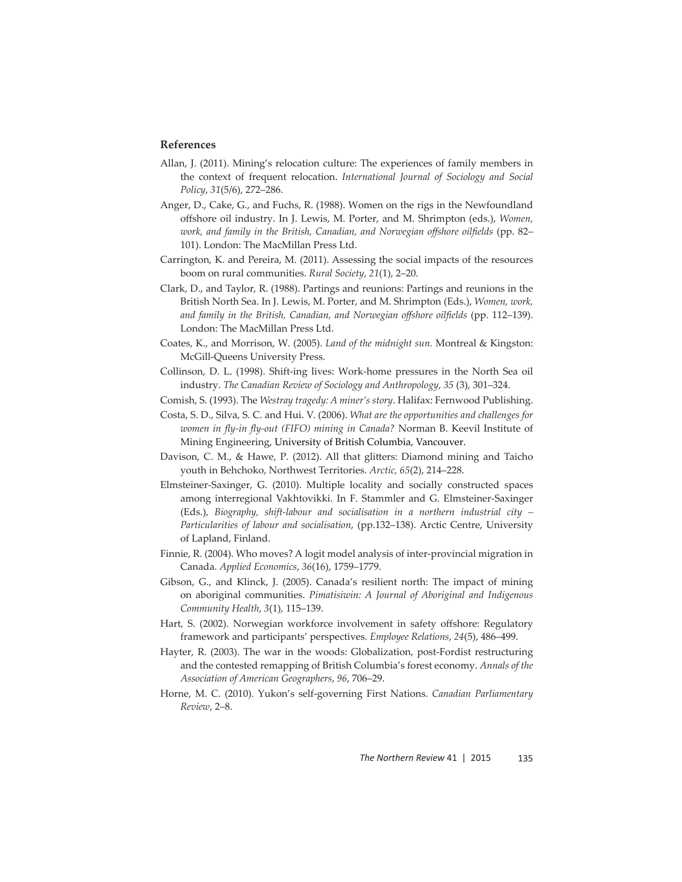# **References**

- Allan, J. (2011). Mining's relocation culture: The experiences of family members in the context of frequent relocation. *International Journal of Sociology and Social Policy*, *31*(5/6), 272–286.
- Anger, D., Cake, G., and Fuchs, R. (1988). Women on the rigs in the Newfoundland off shore oil industry. In J. Lewis, M. Porter, and M. Shrimpton (eds.), *Women, work, and family in the British, Canadian, and Norwegian offshore oilfields* (pp. 82– 101). London: The MacMillan Press Ltd.
- Carrington, K. and Pereira, M. (2011). Assessing the social impacts of the resources boom on rural communities. *Rural Society*, *21*(1), 2–20.
- Clark, D., and Taylor, R. (1988). Partings and reunions: Partings and reunions in the British North Sea. In J. Lewis, M. Porter, and M. Shrimpton (Eds.), *Women, work,*  and family in the British, Canadian, and Norwegian offshore oilfields (pp. 112–139). London: The MacMillan Press Ltd.
- Coates, K., and Morrison, W. (2005). *Land of the midnight sun.* Montreal & Kingston: McGill-Queens University Press.
- Collinson, D. L. (1998). Shift-ing lives: Work-home pressures in the North Sea oil industry. *The Canadian Review of Sociology and Anthropology*, *35* (3), 301–324.
- Comish, S. (1993). The *Westray tragedy: A miner's story*. Halifax: Fernwood Publishing.
- Costa, S. D., Silva, S. C. and Hui. V. (2006). *What are the opportunities and challenges for women in fly-in fly-out (FIFO) mining in Canada?* Norman B. Keevil Institute of Mining Engineering, University of British Columbia, Vancouver.
- Davison, C. M., & Hawe, P. (2012). All that glitters: Diamond mining and Taicho youth in Behchoko, Northwest Territories. *Arctic, 65*(2), 214–228.
- Elmsteiner-Saxinger, G. (2010). Multiple locality and socially constructed spaces among interregional Vakhtovikki. In F. Stammler and G. Elmsteiner-Saxinger (Eds.), *Biography, shift-labour and socialisation in a northern industrial city – Particularities of labour and socialisation*, (pp.132–138). Arctic Centre, University of Lapland, Finland.
- Finnie, R. (2004). Who moves? A logit model analysis of inter-provincial migration in Canada. *Applied Economics*, *36*(16), 1759–1779.
- Gibson, G., and Klinck, J. (2005). Canada's resilient north: The impact of mining on aboriginal communities. *Pimatisiwin: A Journal of Aboriginal and Indigenous Community Health*, *3*(1), 115–139.
- Hart, S. (2002). Norwegian workforce involvement in safety offshore: Regulatory framework and participants' perspectives. *Employee Relations*, *24*(5), 486–499.
- Hayter, R. (2003). The war in the woods: Globalization, post-Fordist restructuring and the contested remapping of British Columbia's forest economy. *Annals of the Association of American Geographers*, *96*, 706–29.
- Horne, M. C. (2010). Yukon's self-governing First Nations. *Canadian Parliamentary Review*, 2–8.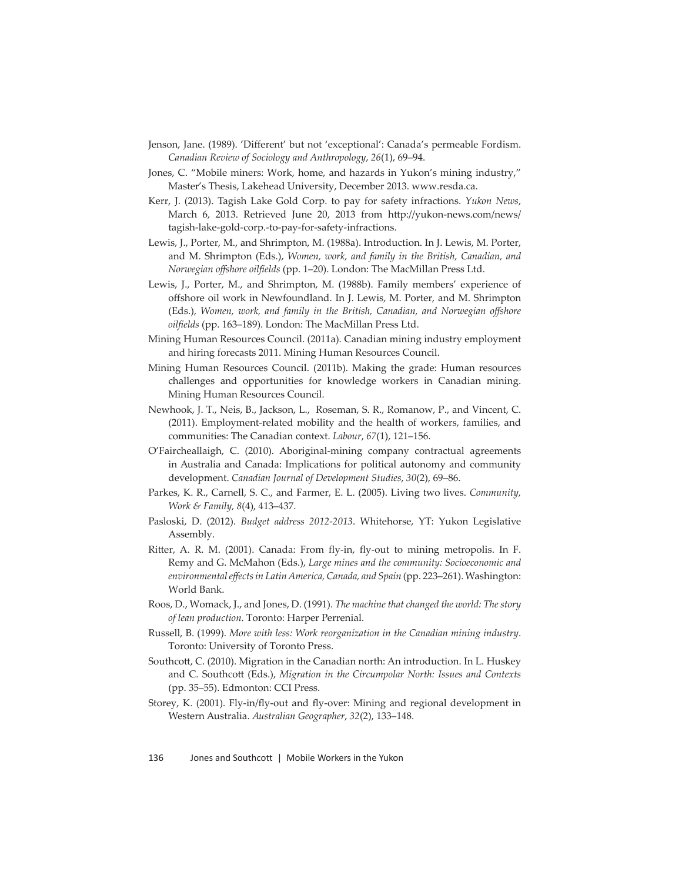- Jenson, Jane. (1989). 'Different' but not 'exceptional': Canada's permeable Fordism. *Canadian Review of Sociology and Anthropology*, *26*(1), 69–94.
- Jones, C. "Mobile miners: Work, home, and hazards in Yukon's mining industry," Master's Thesis, Lakehead University, December 2013. www.resda.ca.
- Kerr, J. (2013). Tagish Lake Gold Corp. to pay for safety infractions. *Yukon News*, March 6, 2013. Retrieved June 20, 2013 from http://yukon-news.com/news/ tagish-lake-gold-corp.-to-pay-for-safety-infractions.
- Lewis, J., Porter, M., and Shrimpton, M. (1988a). Introduction. In J. Lewis, M. Porter, and M. Shrimpton (Eds.), *Women, work, and family in the British, Canadian, and Norwegian offshore oilfields* (pp. 1-20). London: The MacMillan Press Ltd.
- Lewis, J., Porter, M., and Shrimpton, M. (1988b). Family members' experience of offshore oil work in Newfoundland. In J. Lewis, M. Porter, and M. Shrimpton (Eds.), *Women, work, and family in the British, Canadian, and Norwegian off shore oilfi elds* (pp. 163–189). London: The MacMillan Press Ltd.
- Mining Human Resources Council. (2011a). Canadian mining industry employment and hiring forecasts 2011. Mining Human Resources Council.
- Mining Human Resources Council. (2011b). Making the grade: Human resources challenges and opportunities for knowledge workers in Canadian mining. Mining Human Resources Council.
- Newhook, J. T., Neis, B., Jackson, L., Roseman, S. R., Romanow, P., and Vincent, C. (2011). Employment-related mobility and the health of workers, families, and communities: The Canadian context. *Labour*, *67*(1), 121–156.
- O'Faircheallaigh, C. (2010). Aboriginal-mining company contractual agreements in Australia and Canada: Implications for political autonomy and community development. *Canadian Journal of Development Studies*, *30*(2), 69–86.
- Parkes, K. R., Carnell, S. C., and Farmer, E. L. (2005). Living two lives. *Community, Work & Family, 8*(4), 413–437.
- Pasloski, D. (2012). *Budget address 2012-2013*. Whitehorse, YT: Yukon Legislative Assembly.
- Ritter, A. R. M. (2001). Canada: From fly-in, fly-out to mining metropolis. In F. Remy and G. McMahon (Eds.), *Large mines and the community: Socioeconomic and environmental eff ects in Latin America, Canada, and Spain* (pp. 223–261). Washington: World Bank.
- Roos, D., Womack, J., and Jones, D. (1991). *The machine that changed the world: The story of lean production*. Toronto: Harper Perrenial.
- Russell, B. (1999). *More with less: Work reorganization in the Canadian mining industry*. Toronto: University of Toronto Press.
- Southcott, C. (2010). Migration in the Canadian north: An introduction. In L. Huskey and C. Southcott (Eds.), *Migration in the Circumpolar North: Issues and Contexts* (pp. 35–55). Edmonton: CCI Press.
- Storey, K. (2001). Fly-in/fly-out and fly-over: Mining and regional development in Western Australia. *Australian Geographer*, *32*(2), 133–148.

136 Jones and Southcott| Mobile Workers in the Yukon